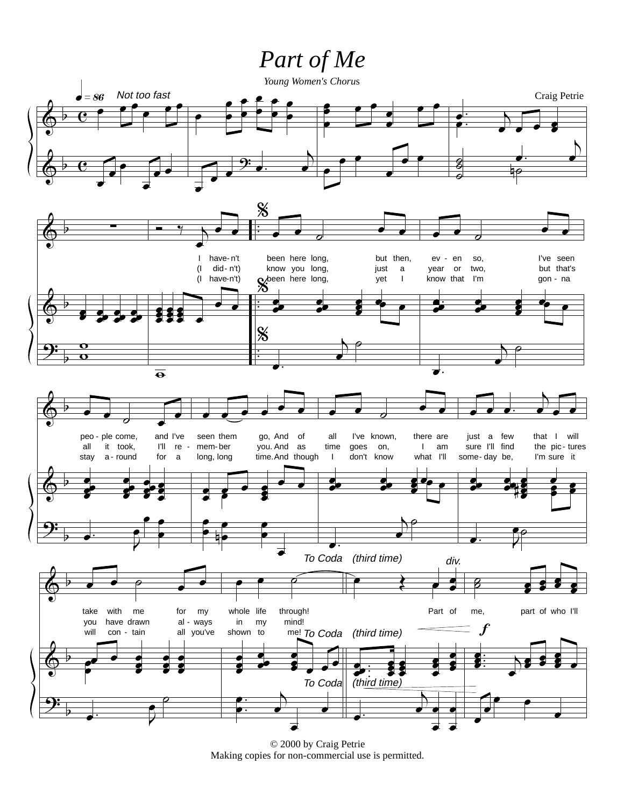## Part of Me



© 2000 by Craig Petrie Making copies for non-commercial use is permitted.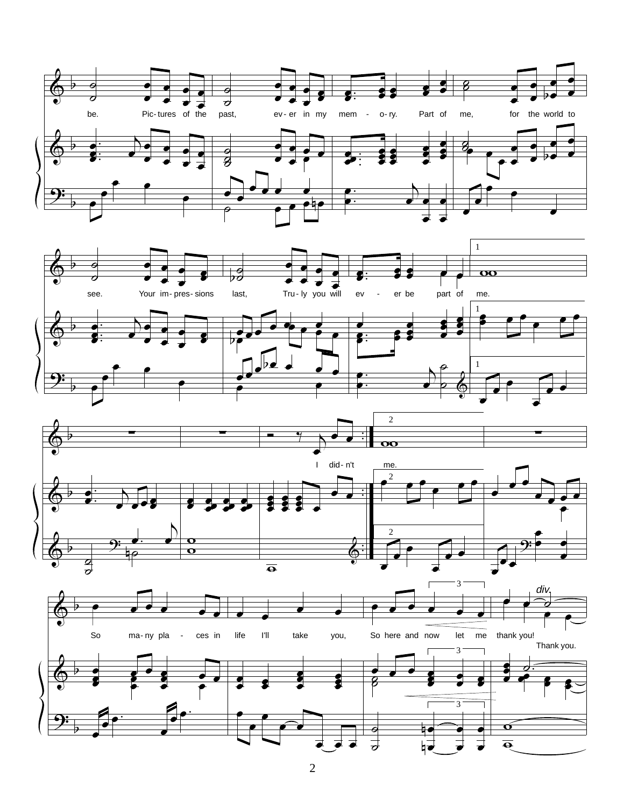